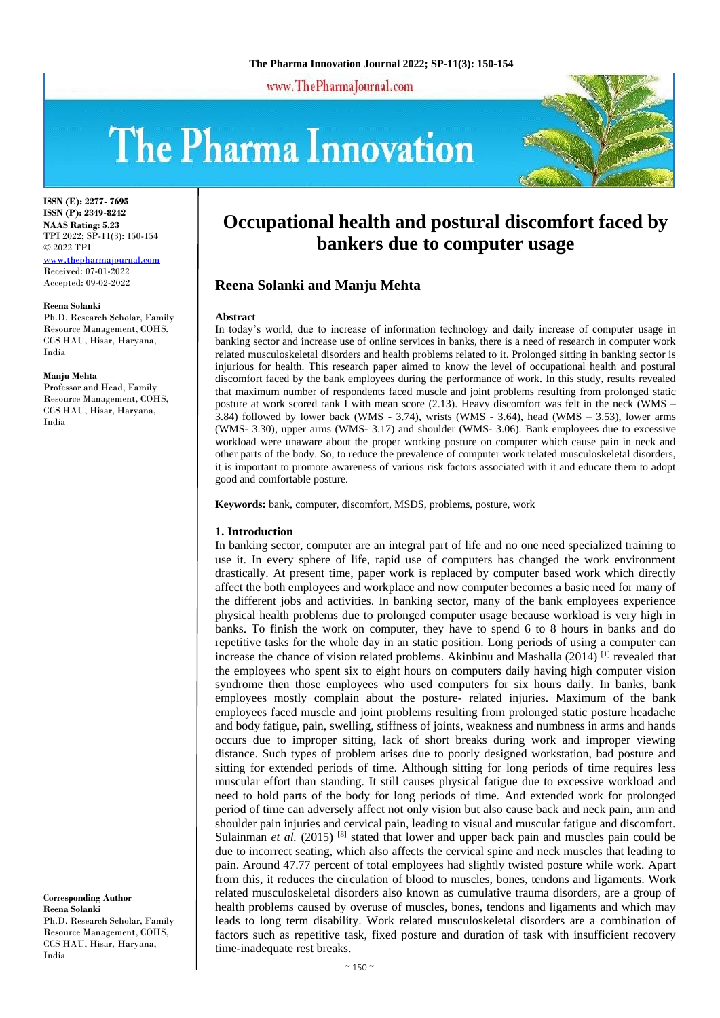www.ThePharmaJournal.com

# The Pharma Innovation



**ISSN (E): 2277- 7695 ISSN (P): 2349-8242 NAAS Rating: 5.23** TPI 2022; SP-11(3): 150-154 © 2022 TPI [www.thepharmajournal.com](file:///C:/Users/gupta/AppData/Roaming/Microsoft/Word/www.thepharmajournal.com) Received: 07-01-2022 Accepted: 09-02-2022

#### **Reena Solanki**

Ph.D. Research Scholar, Family Resource Management, COHS, CCS HAU, Hisar, Haryana, India

#### **Manju Mehta**

Professor and Head, Family Resource Management, COHS, CCS HAU, Hisar, Haryana, India

**Corresponding Author Reena Solanki** Ph.D. Research Scholar, Family Resource Management, COHS, CCS HAU, Hisar, Haryana, India

# **Occupational health and postural discomfort faced by bankers due to computer usage**

# **Reena Solanki and Manju Mehta**

#### **Abstract**

In today's world, due to increase of information technology and daily increase of computer usage in banking sector and increase use of online services in banks, there is a need of research in computer work related musculoskeletal disorders and health problems related to it. Prolonged sitting in banking sector is injurious for health. This research paper aimed to know the level of occupational health and postural discomfort faced by the bank employees during the performance of work. In this study, results revealed that maximum number of respondents faced muscle and joint problems resulting from prolonged static posture at work scored rank I with mean score (2.13). Heavy discomfort was felt in the neck (WMS – 3.84) followed by lower back (WMS - 3.74), wrists (WMS - 3.64), head (WMS – 3.53), lower arms (WMS- 3.30), upper arms (WMS- 3.17) and shoulder (WMS- 3.06). Bank employees due to excessive workload were unaware about the proper working posture on computer which cause pain in neck and other parts of the body. So, to reduce the prevalence of computer work related musculoskeletal disorders, it is important to promote awareness of various risk factors associated with it and educate them to adopt good and comfortable posture.

**Keywords:** bank, computer, discomfort, MSDS, problems, posture, work

#### **1. Introduction**

In banking sector, computer are an integral part of life and no one need specialized training to use it. In every sphere of life, rapid use of computers has changed the work environment drastically. At present time, paper work is replaced by computer based work which directly affect the both employees and workplace and now computer becomes a basic need for many of the different jobs and activities. In banking sector, many of the bank employees experience physical health problems due to prolonged computer usage because workload is very high in banks. To finish the work on computer, they have to spend 6 to 8 hours in banks and do repetitive tasks for the whole day in an static position. Long periods of using a computer can increase the chance of vision related problems. Akinbinu and Mashalla (2014) [1] revealed that the employees who spent six to eight hours on computers daily having high computer vision syndrome then those employees who used computers for six hours daily. In banks, bank employees mostly complain about the posture- related injuries. Maximum of the bank employees faced muscle and joint problems resulting from prolonged static posture headache and body fatigue, pain, swelling, stiffness of joints, weakness and numbness in arms and hands occurs due to improper sitting, lack of short breaks during work and improper viewing distance. Such types of problem arises due to poorly designed workstation, bad posture and sitting for extended periods of time. Although sitting for long periods of time requires less muscular effort than standing. It still causes physical fatigue due to excessive workload and need to hold parts of the body for long periods of time. And extended work for prolonged period of time can adversely affect not only vision but also cause back and neck pain, arm and shoulder pain injuries and cervical pain, leading to visual and muscular fatigue and discomfort. Sulainman *et al.* (2015) <sup>[8]</sup> stated that lower and upper back pain and muscles pain could be due to incorrect seating, which also affects the cervical spine and neck muscles that leading to pain. Around 47.77 percent of total employees had slightly twisted posture while work. Apart from this, it reduces the circulation of blood to muscles, bones, tendons and ligaments. Work related musculoskeletal disorders also known as cumulative trauma disorders, are a group of health problems caused by overuse of muscles, bones, tendons and ligaments and which may leads to long term disability. Work related musculoskeletal disorders are a combination of factors such as repetitive task, fixed posture and duration of task with insufficient recovery time-inadequate rest breaks.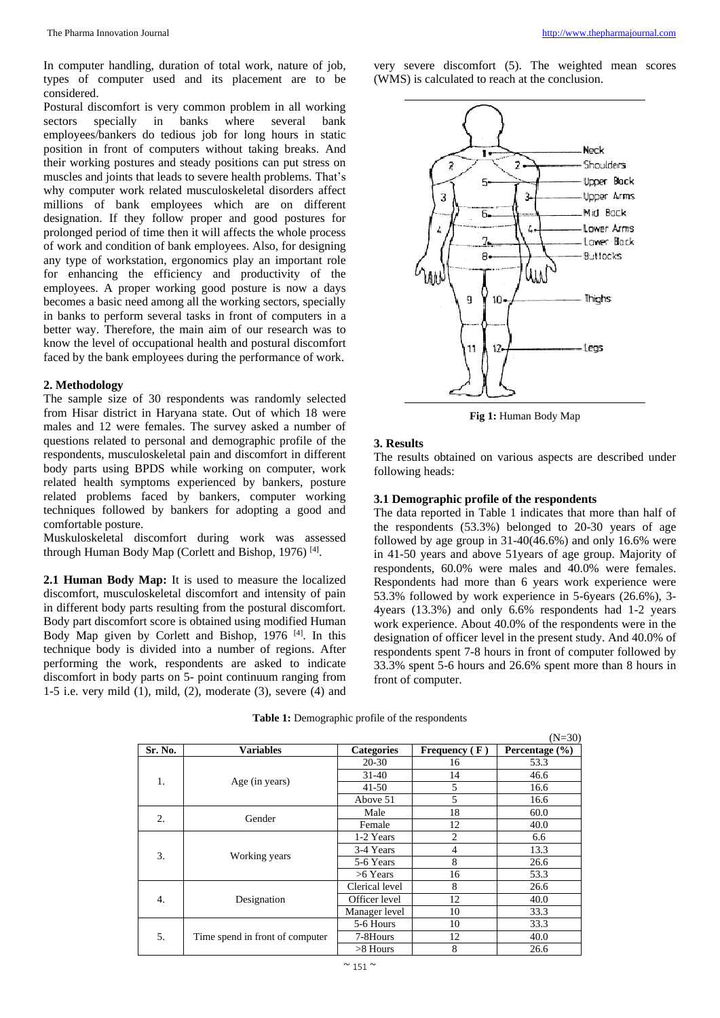In computer handling, duration of total work, nature of job, types of computer used and its placement are to be considered.

Postural discomfort is very common problem in all working sectors specially in banks where several bank employees/bankers do tedious job for long hours in static position in front of computers without taking breaks. And their working postures and steady positions can put stress on muscles and joints that leads to severe health problems. That's why computer work related musculoskeletal disorders affect millions of bank employees which are on different designation. If they follow proper and good postures for prolonged period of time then it will affects the whole process of work and condition of bank employees. Also, for designing any type of workstation, ergonomics play an important role for enhancing the efficiency and productivity of the employees. A proper working good posture is now a days becomes a basic need among all the working sectors, specially in banks to perform several tasks in front of computers in a better way. Therefore, the main aim of our research was to know the level of occupational health and postural discomfort faced by the bank employees during the performance of work.

#### **2. Methodology**

The sample size of 30 respondents was randomly selected from Hisar district in Haryana state. Out of which 18 were males and 12 were females. The survey asked a number of questions related to personal and demographic profile of the respondents, musculoskeletal pain and discomfort in different body parts using BPDS while working on computer, work related health symptoms experienced by bankers, posture related problems faced by bankers, computer working techniques followed by bankers for adopting a good and comfortable posture.

Muskuloskeletal discomfort during work was assessed through Human Body Map (Corlett and Bishop, 1976)<sup>[4]</sup>.

**2.1 Human Body Map:** It is used to measure the localized discomfort, musculoskeletal discomfort and intensity of pain in different body parts resulting from the postural discomfort. Body part discomfort score is obtained using modified Human Body Map given by Corlett and Bishop, 1976<sup>[4]</sup>. In this technique body is divided into a number of regions. After performing the work, respondents are asked to indicate discomfort in body parts on 5- point continuum ranging from 1-5 i.e. very mild (1), mild, (2), moderate (3), severe (4) and very severe discomfort (5). The weighted mean scores (WMS) is calculated to reach at the conclusion.



**Fig 1:** Human Body Map

#### **3. Results**

The results obtained on various aspects are described under following heads:

#### **3.1 Demographic profile of the respondents**

The data reported in Table 1 indicates that more than half of the respondents (53.3%) belonged to 20-30 years of age followed by age group in 31-40(46.6%) and only 16.6% were in 41-50 years and above 51years of age group. Majority of respondents, 60.0% were males and 40.0% were females. Respondents had more than 6 years work experience were 53.3% followed by work experience in 5-6years (26.6%), 3- 4years (13.3%) and only 6.6% respondents had 1-2 years work experience. About 40.0% of the respondents were in the designation of officer level in the present study. And 40.0% of respondents spent 7-8 hours in front of computer followed by 33.3% spent 5-6 hours and 26.6% spent more than 8 hours in front of computer.

|                  |                                 |                   |                 | $(N=30)$           |
|------------------|---------------------------------|-------------------|-----------------|--------------------|
| Sr. No.          | <b>Variables</b>                | <b>Categories</b> | Frequency $(F)$ | Percentage $(\% )$ |
| 1.               | Age (in years)                  | 20-30             | 16              | 53.3               |
|                  |                                 | $31 - 40$         | 14              | 46.6               |
|                  |                                 | $41 - 50$         | 5               | 16.6               |
|                  |                                 | Above 51          | 5               | 16.6               |
| $\overline{2}$ . | Gender                          | Male              | 18              | 60.0               |
|                  |                                 | Female            | 12              | 40.0               |
| 3.               | Working years                   | 1-2 Years         | $\overline{c}$  | 6.6                |
|                  |                                 | 3-4 Years         | 4               | 13.3               |
|                  |                                 | 5-6 Years         | 8               | 26.6               |
|                  |                                 | $>6$ Years        | 16              | 53.3               |
|                  |                                 | Clerical level    | 8               | 26.6               |
| 4.               | Designation                     | Officer level     | 12              | 40.0               |
|                  |                                 | Manager level     | 10              | 33.3               |
| 5.               | Time spend in front of computer | 5-6 Hours         | 10              | 33.3               |
|                  |                                 | 7-8Hours          | 12              | 40.0               |
|                  |                                 | $>8$ Hours        | 8               | 26.6               |

**Table 1:** Demographic profile of the respondents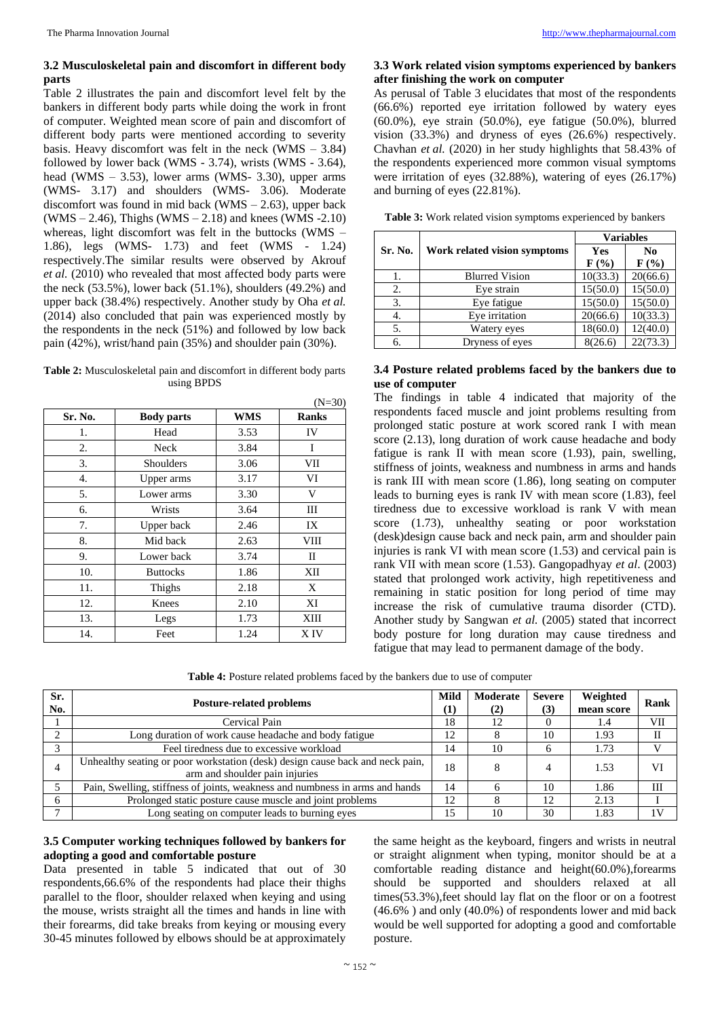# **3.2 Musculoskeletal pain and discomfort in different body parts**

Table 2 illustrates the pain and discomfort level felt by the bankers in different body parts while doing the work in front of computer. Weighted mean score of pain and discomfort of different body parts were mentioned according to severity basis. Heavy discomfort was felt in the neck (WMS – 3.84) followed by lower back (WMS - 3.74), wrists (WMS - 3.64), head (WMS – 3.53), lower arms (WMS- 3.30), upper arms (WMS- 3.17) and shoulders (WMS- 3.06). Moderate discomfort was found in mid back (WMS – 2.63), upper back  $(WMS - 2.46)$ , Thighs  $(WMS - 2.18)$  and knees  $(WMS - 2.10)$ whereas, light discomfort was felt in the buttocks (WMS – 1.86), legs (WMS- 1.73) and feet (WMS - 1.24) respectively.The similar results were observed by Akrouf *et al.* (2010) who revealed that most affected body parts were the neck  $(53.5\%)$ , lower back  $(51.1\%)$ , shoulders  $(49.2\%)$  and upper back (38.4%) respectively. Another study by Oha *et al.* (2014) also concluded that pain was experienced mostly by the respondents in the neck (51%) and followed by low back pain (42%), wrist/hand pain (35%) and shoulder pain (30%).

| <b>Table 2:</b> Musculoskeletal pain and discomfort in different body parts |
|-----------------------------------------------------------------------------|
| using BPDS                                                                  |

|         |                   |            | $(N=30)$     |
|---------|-------------------|------------|--------------|
| Sr. No. | <b>Body parts</b> | <b>WMS</b> | <b>Ranks</b> |
| 1.      | Head              | 3.53       | IV           |
| 2.      | Neck              | 3.84       | I            |
| 3.      | Shoulders         | 3.06       | VII          |
| 4.      | Upper arms        | 3.17       | VI           |
| 5.      | Lower arms        | 3.30       | V            |
| 6.      | Wrists            | 3.64       | Ш            |
| 7.      | Upper back        | 2.46       | IX           |
| 8.      | Mid back          | 2.63       | VIII         |
| 9.      | Lower back        | 3.74       | П            |
| 10.     | <b>Buttocks</b>   | 1.86       | XII          |
| 11.     | Thighs            | 2.18       | X            |
| 12.     | Knees             | 2.10       | XI           |
| 13.     | Legs              | 1.73       | XIII         |
| 14.     | Feet              | 1.24       | X IV         |

# **3.3 Work related vision symptoms experienced by bankers after finishing the work on computer**

As perusal of Table 3 elucidates that most of the respondents (66.6%) reported eye irritation followed by watery eyes (60.0%), eye strain (50.0%), eye fatigue (50.0%), blurred vision (33.3%) and dryness of eyes (26.6%) respectively. Chavhan *et al.* (2020) in her study highlights that 58.43% of the respondents experienced more common visual symptoms were irritation of eyes (32.88%), watering of eyes (26.17%) and burning of eyes (22.81%).

| Table 3: Work related vision symptoms experienced by bankers |  |
|--------------------------------------------------------------|--|
|--------------------------------------------------------------|--|

|         | Work related vision symptoms | <b>Variables</b> |                  |  |
|---------|------------------------------|------------------|------------------|--|
| Sr. No. |                              | Yes              | N <sub>0</sub>   |  |
|         |                              | $F(\%)$          | $\mathbf{F}$ (%) |  |
| 1.      | <b>Blurred Vision</b>        | 10(33.3)         | 20(66.6)         |  |
| 2.      | Eye strain                   | 15(50.0)         | 15(50.0)         |  |
| 3.      | Eye fatigue                  | 15(50.0)         | 15(50.0)         |  |
| 4.      | Eye irritation               | 20(66.6)         | 10(33.3)         |  |
| 5.      | Watery eyes                  | 18(60.0)         | 12(40.0)         |  |
| б.      | Dryness of eyes              | 8(26.6)          | 22(73.3)         |  |

# **3.4 Posture related problems faced by the bankers due to use of computer**

The findings in table 4 indicated that majority of the respondents faced muscle and joint problems resulting from prolonged static posture at work scored rank I with mean score (2.13), long duration of work cause headache and body fatigue is rank II with mean score (1.93), pain, swelling, stiffness of joints, weakness and numbness in arms and hands is rank III with mean score (1.86), long seating on computer leads to burning eyes is rank IV with mean score (1.83), feel tiredness due to excessive workload is rank V with mean score (1.73), unhealthy seating or poor workstation (desk)design cause back and neck pain, arm and shoulder pain injuries is rank VI with mean score (1.53) and cervical pain is rank VII with mean score (1.53). Gangopadhyay *et al*. (2003) stated that prolonged work activity, high repetitiveness and remaining in static position for long period of time may increase the risk of cumulative trauma disorder (CTD). Another study by Sangwan *et al.* (2005) stated that incorrect body posture for long duration may cause tiredness and fatigue that may lead to permanent damage of the body.

**Table 4:** Posture related problems faced by the bankers due to use of computer

| Sr.<br>No.   | <b>Posture-related problems</b>                                                                                 | Mild<br>(1) | Moderate<br>(2) | <b>Severe</b><br>(3) | Weighted<br>mean score | Rank |
|--------------|-----------------------------------------------------------------------------------------------------------------|-------------|-----------------|----------------------|------------------------|------|
|              | Cervical Pain                                                                                                   | 18          | 12              |                      | 1.4                    | VІІ  |
|              | Long duration of work cause headache and body fatigue                                                           | 12          |                 | 10                   | 1.93                   |      |
| $\mathbf{R}$ | Feel tiredness due to excessive workload                                                                        | 14          | 10              | 6                    | 1.73                   |      |
|              | Unhealthy seating or poor workstation (desk) design cause back and neck pain,<br>arm and shoulder pain injuries | 18          |                 | 4                    | 1.53                   | VI   |
|              | Pain, Swelling, stiffness of joints, weakness and numbness in arms and hands                                    | 14          |                 | 10                   | 1.86                   | Ш    |
|              | Prolonged static posture cause muscle and joint problems                                                        | 12          |                 | 12                   | 2.13                   |      |
|              | Long seating on computer leads to burning eyes                                                                  | 15          | 10              | 30                   | 1.83                   | 1V   |

# **3.5 Computer working techniques followed by bankers for adopting a good and comfortable posture**

Data presented in table 5 indicated that out of 30 respondents,66.6% of the respondents had place their thighs parallel to the floor, shoulder relaxed when keying and using the mouse, wrists straight all the times and hands in line with their forearms, did take breaks from keying or mousing every 30-45 minutes followed by elbows should be at approximately

the same height as the keyboard, fingers and wrists in neutral or straight alignment when typing, monitor should be at a comfortable reading distance and height(60.0%),forearms should be supported and shoulders relaxed at all times(53.3%),feet should lay flat on the floor or on a footrest (46.6% ) and only (40.0%) of respondents lower and mid back would be well supported for adopting a good and comfortable posture.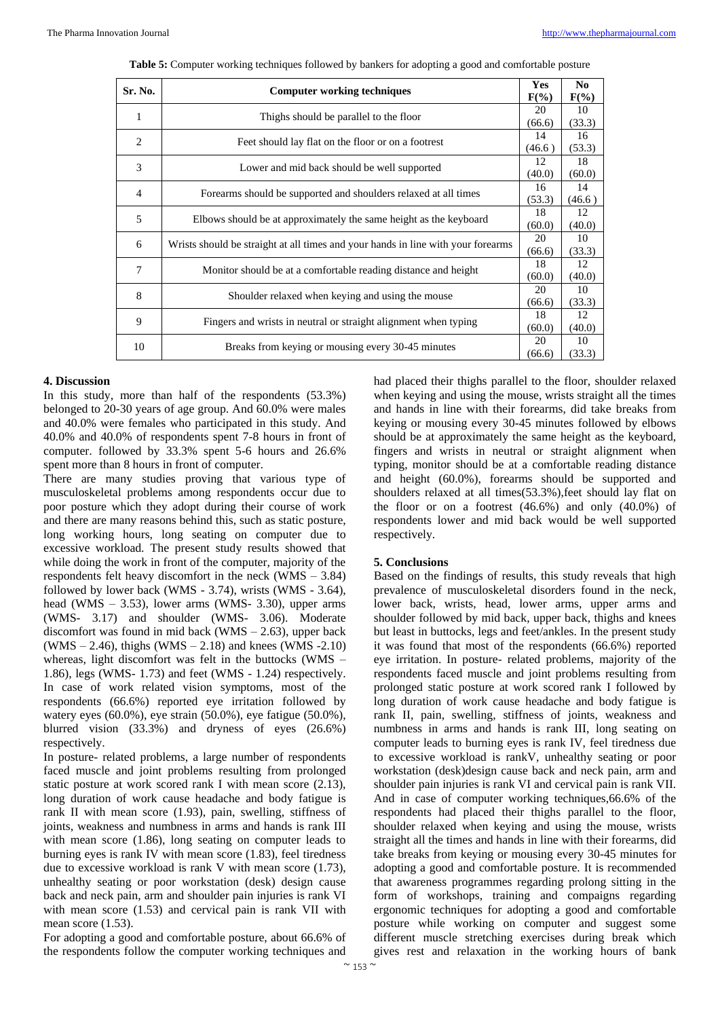|                | Sr. No.<br><b>Computer working techniques</b>                                    |        | N <sub>0</sub> |
|----------------|----------------------------------------------------------------------------------|--------|----------------|
|                |                                                                                  |        | $F(\%)$        |
| 1              | Thighs should be parallel to the floor                                           |        | 10             |
|                |                                                                                  | (66.6) | (33.3)         |
| $\overline{2}$ |                                                                                  | 14     | 16             |
|                | Feet should lay flat on the floor or on a footrest                               |        | (53.3)         |
|                | 3<br>Lower and mid back should be well supported                                 |        | 18             |
|                |                                                                                  |        | (60.0)         |
| $\overline{4}$ | Forearms should be supported and shoulders relaxed at all times                  |        | 14             |
|                |                                                                                  |        | (46.6)         |
| 5              | Elbows should be at approximately the same height as the keyboard                | 18     | 12             |
|                |                                                                                  |        | (40.0)         |
| 6              | Wrists should be straight at all times and your hands in line with your forearms | 20     | 10             |
|                |                                                                                  | (66.6) | (33.3)         |
| 7              | Monitor should be at a comfortable reading distance and height                   |        | 12             |
|                |                                                                                  |        | (40.0)         |
| 8              | Shoulder relaxed when keying and using the mouse                                 |        | 10             |
|                |                                                                                  |        | (33.3)         |
| 9              | Fingers and wrists in neutral or straight alignment when typing                  |        | 12             |
|                |                                                                                  |        | (40.0)         |
| 10             | Breaks from keying or mousing every 30-45 minutes                                |        | 10             |
|                |                                                                                  |        | (33.3)         |

**Table 5:** Computer working techniques followed by bankers for adopting a good and comfortable posture

## **4. Discussion**

In this study, more than half of the respondents (53.3%) belonged to 20-30 years of age group. And 60.0% were males and 40.0% were females who participated in this study. And 40.0% and 40.0% of respondents spent 7-8 hours in front of computer. followed by 33.3% spent 5-6 hours and 26.6% spent more than 8 hours in front of computer.

There are many studies proving that various type of musculoskeletal problems among respondents occur due to poor posture which they adopt during their course of work and there are many reasons behind this, such as static posture, long working hours, long seating on computer due to excessive workload. The present study results showed that while doing the work in front of the computer, majority of the respondents felt heavy discomfort in the neck (WMS – 3.84) followed by lower back (WMS - 3.74), wrists (WMS - 3.64), head (WMS  $-$  3.53), lower arms (WMS- 3.30), upper arms (WMS- 3.17) and shoulder (WMS- 3.06). Moderate discomfort was found in mid back (WMS  $- 2.63$ ), upper back  $(WMS - 2.46)$ , thighs  $(WMS - 2.18)$  and knees  $(WMS - 2.10)$ whereas, light discomfort was felt in the buttocks (WMS – 1.86), legs (WMS- 1.73) and feet (WMS - 1.24) respectively. In case of work related vision symptoms, most of the respondents (66.6%) reported eye irritation followed by watery eyes (60.0%), eye strain (50.0%), eye fatigue (50.0%), blurred vision (33.3%) and dryness of eyes (26.6%) respectively.

In posture- related problems, a large number of respondents faced muscle and joint problems resulting from prolonged static posture at work scored rank I with mean score (2.13), long duration of work cause headache and body fatigue is rank II with mean score (1.93), pain, swelling, stiffness of joints, weakness and numbness in arms and hands is rank III with mean score (1.86), long seating on computer leads to burning eyes is rank IV with mean score (1.83), feel tiredness due to excessive workload is rank V with mean score (1.73), unhealthy seating or poor workstation (desk) design cause back and neck pain, arm and shoulder pain injuries is rank VI with mean score (1.53) and cervical pain is rank VII with mean score  $(1.53)$ .

For adopting a good and comfortable posture, about 66.6% of the respondents follow the computer working techniques and

had placed their thighs parallel to the floor, shoulder relaxed when keying and using the mouse, wrists straight all the times and hands in line with their forearms, did take breaks from keying or mousing every 30-45 minutes followed by elbows should be at approximately the same height as the keyboard, fingers and wrists in neutral or straight alignment when typing, monitor should be at a comfortable reading distance and height (60.0%), forearms should be supported and shoulders relaxed at all times(53.3%),feet should lay flat on the floor or on a footrest  $(46.6%)$  and only  $(40.0%)$  of respondents lower and mid back would be well supported respectively.

## **5. Conclusions**

Based on the findings of results, this study reveals that high prevalence of musculoskeletal disorders found in the neck, lower back, wrists, head, lower arms, upper arms and shoulder followed by mid back, upper back, thighs and knees but least in buttocks, legs and feet/ankles. In the present study it was found that most of the respondents (66.6%) reported eye irritation. In posture- related problems, majority of the respondents faced muscle and joint problems resulting from prolonged static posture at work scored rank I followed by long duration of work cause headache and body fatigue is rank II, pain, swelling, stiffness of joints, weakness and numbness in arms and hands is rank III, long seating on computer leads to burning eyes is rank IV, feel tiredness due to excessive workload is rankV, unhealthy seating or poor workstation (desk)design cause back and neck pain, arm and shoulder pain injuries is rank VI and cervical pain is rank VII. And in case of computer working techniques,66.6% of the respondents had placed their thighs parallel to the floor, shoulder relaxed when keying and using the mouse, wrists straight all the times and hands in line with their forearms, did take breaks from keying or mousing every 30-45 minutes for adopting a good and comfortable posture. It is recommended that awareness programmes regarding prolong sitting in the form of workshops, training and compaigns regarding ergonomic techniques for adopting a good and comfortable posture while working on computer and suggest some different muscle stretching exercises during break which gives rest and relaxation in the working hours of bank